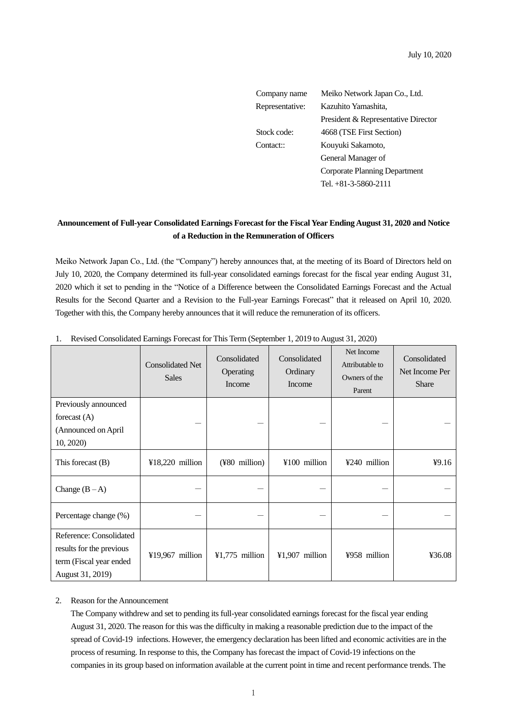July 10, 2020

| Company name    | Meiko Network Japan Co., Ltd.       |  |  |
|-----------------|-------------------------------------|--|--|
| Representative: | Kazuhito Yamashita,                 |  |  |
|                 | President & Representative Director |  |  |
| Stock code:     | 4668 (TSE First Section)            |  |  |
| Contact::       | Kouyuki Sakamoto,                   |  |  |
|                 | General Manager of                  |  |  |
|                 | Corporate Planning Department       |  |  |
|                 | Tel. $+81-3-5860-2111$              |  |  |

## **Announcement of Full-year Consolidated Earnings Forecast for the Fiscal Year Ending August 31, 2020 and Notice of a Reduction in the Remuneration of Officers**

Meiko Network Japan Co., Ltd. (the "Company") hereby announces that, at the meeting of its Board of Directors held on July 10, 2020, the Company determined its full-year consolidated earnings forecast for the fiscal year ending August 31, 2020 which it set to pending in the "Notice of a Difference between the Consolidated Earnings Forecast and the Actual Results for the Second Quarter and a Revision to the Full-year Earnings Forecast" that it released on April 10, 2020. Together with this, the Company hereby announces that it will reduce the remuneration of its officers.

|                                                                                                    | <b>Consolidated Net</b><br><b>Sales</b> | Consolidated<br>Operating<br>Income | Consolidated<br>Ordinary<br>Income | Net Income<br>Attributable to<br>Owners of the<br>Parent | Consolidated<br>Net Income Per<br><b>Share</b> |
|----------------------------------------------------------------------------------------------------|-----------------------------------------|-------------------------------------|------------------------------------|----------------------------------------------------------|------------------------------------------------|
| Previously announced<br>forecast $(A)$<br>(Announced on April<br>10, 2020)                         |                                         |                                     |                                    |                                                          |                                                |
| This forecast $(B)$                                                                                | $418,220$ million                       | (¥80 million)                       | ¥100 million                       | ¥240 million                                             | 49.16                                          |
| Change $(B-A)$                                                                                     |                                         |                                     |                                    |                                                          |                                                |
| Percentage change (%)                                                                              |                                         |                                     |                                    |                                                          |                                                |
| Reference: Consolidated<br>results for the previous<br>term (Fiscal year ended<br>August 31, 2019) | ¥19,967 million                         | $¥1,775$ million                    | ¥1,907 million                     | ¥958 million                                             | 436.08                                         |

1. Revised Consolidated Earnings Forecast for This Term (September 1, 2019 to August 31, 2020)

## 2. Reason for the Announcement

The Company withdrew and set to pending its full-year consolidated earnings forecast for the fiscal year ending August 31, 2020. The reason for this was the difficulty in making a reasonable prediction due to the impact of the spread of Covid-19 infections. However, the emergency declaration has been lifted and economic activities are in the process of resuming. In response to this, the Company has forecast the impact of Covid-19 infections on the companies in its group based on information available at the current point in time and recent performance trends. The